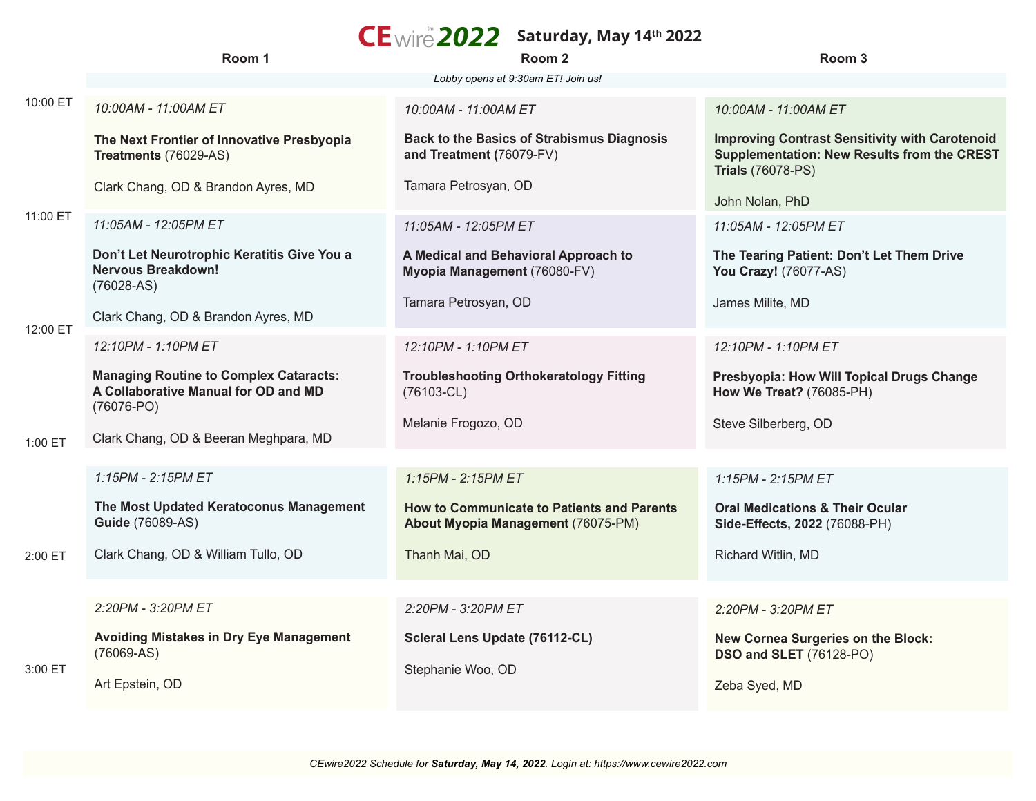## **Saturday, May 14<sup>th</sup> 2022**<br> **2022 2022 2022**

|           | Room 1                                                                                                  | Room 2                                                                           | Room <sub>3</sub>                                                                                                                       |
|-----------|---------------------------------------------------------------------------------------------------------|----------------------------------------------------------------------------------|-----------------------------------------------------------------------------------------------------------------------------------------|
|           |                                                                                                         | Lobby opens at 9:30am ET! Join us!                                               |                                                                                                                                         |
| 10:00 ET  | 10:00AM - 11:00AM ET                                                                                    | 10:00AM - 11:00AM ET                                                             | 10:00AM - 11:00AM ET                                                                                                                    |
|           | The Next Frontier of Innovative Presbyopia<br>Treatments (76029-AS)                                     | <b>Back to the Basics of Strabismus Diagnosis</b><br>and Treatment (76079-FV)    | <b>Improving Contrast Sensitivity with Carotenoid</b><br><b>Supplementation: New Results from the CREST</b><br><b>Trials (76078-PS)</b> |
| 11:00 ET  | Clark Chang, OD & Brandon Ayres, MD                                                                     | Tamara Petrosyan, OD                                                             | John Nolan, PhD                                                                                                                         |
|           | 11:05AM - 12:05PM ET                                                                                    | 11:05AM - 12:05PM ET                                                             | 11:05AM - 12:05PM ET                                                                                                                    |
|           | Don't Let Neurotrophic Keratitis Give You a<br><b>Nervous Breakdown!</b><br>$(76028-AS)$                | A Medical and Behavioral Approach to<br>Myopia Management (76080-FV)             | The Tearing Patient: Don't Let Them Drive<br>You Crazy! (76077-AS)                                                                      |
| 12:00 ET  | Clark Chang, OD & Brandon Ayres, MD                                                                     | Tamara Petrosyan, OD                                                             | James Milite, MD                                                                                                                        |
|           | 12:10PM - 1:10PM ET                                                                                     | 12:10PM - 1:10PM ET                                                              | 12:10PM - 1:10PM ET                                                                                                                     |
| $1:00$ ET | <b>Managing Routine to Complex Cataracts:</b><br>A Collaborative Manual for OD and MD<br>$(76076 - PO)$ | <b>Troubleshooting Orthokeratology Fitting</b><br>$(76103 - CL)$                 | Presbyopia: How Will Topical Drugs Change<br>How We Treat? (76085-PH)                                                                   |
|           | Clark Chang, OD & Beeran Meghpara, MD                                                                   | Melanie Frogozo, OD                                                              | Steve Silberberg, OD                                                                                                                    |
|           |                                                                                                         |                                                                                  |                                                                                                                                         |
|           | 1:15PM - 2:15PM ET                                                                                      | 1:15PM - 2:15PM ET                                                               | 1:15PM - 2:15PM ET                                                                                                                      |
|           | The Most Updated Keratoconus Management<br><b>Guide (76089-AS)</b>                                      | How to Communicate to Patients and Parents<br>About Myopia Management (76075-PM) | <b>Oral Medications &amp; Their Ocular</b><br>Side-Effects, 2022 (76088-PH)                                                             |
| 2:00 ET   | Clark Chang, OD & William Tullo, OD                                                                     | Thanh Mai, OD                                                                    | Richard Witlin, MD                                                                                                                      |
|           |                                                                                                         |                                                                                  |                                                                                                                                         |
|           | 2:20PM - 3:20PM ET                                                                                      | 2:20PM - 3:20PM ET                                                               | 2:20PM - 3:20PM ET                                                                                                                      |
| 3:00 ET   | <b>Avoiding Mistakes in Dry Eye Management</b><br>$(76069-AS)$                                          | Scleral Lens Update (76112-CL)                                                   | New Cornea Surgeries on the Block:<br><b>DSO and SLET</b> (76128-PO)                                                                    |
|           | Art Epstein, OD                                                                                         | Stephanie Woo, OD                                                                | Zeba Syed, MD                                                                                                                           |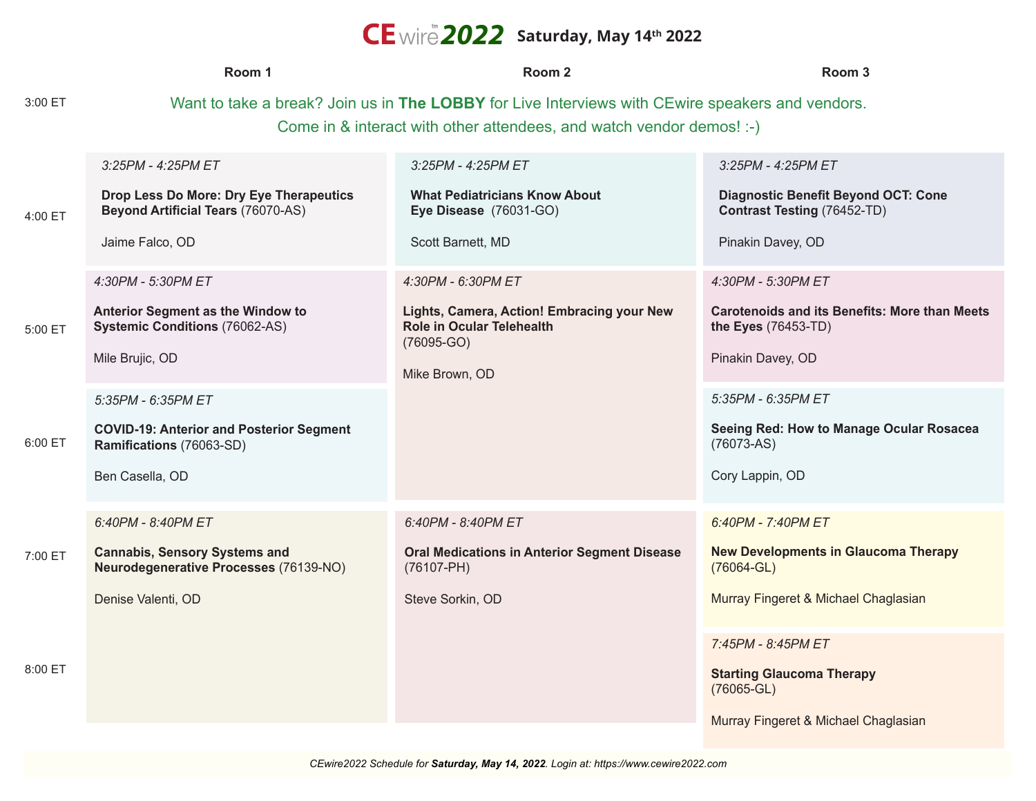## $CE$  wire 2022 Saturday, May 14<sup>th</sup> 2022

|                    | Room 1                                                                                                                                                                                                                   | Room <sub>2</sub>                                                                                                                      | Room 3                                                                                                                                                                                                   |  |
|--------------------|--------------------------------------------------------------------------------------------------------------------------------------------------------------------------------------------------------------------------|----------------------------------------------------------------------------------------------------------------------------------------|----------------------------------------------------------------------------------------------------------------------------------------------------------------------------------------------------------|--|
| 3:00 ET            | Want to take a break? Join us in The LOBBY for Live Interviews with CEwire speakers and vendors.<br>Come in & interact with other attendees, and watch vendor demos! :-)                                                 |                                                                                                                                        |                                                                                                                                                                                                          |  |
| 4:00 ET            | $3:25PM - 4:25PM ET$<br>Drop Less Do More: Dry Eye Therapeutics<br><b>Beyond Artificial Tears (76070-AS)</b><br>Jaime Falco, OD                                                                                          | 3:25PM - 4:25PM ET<br><b>What Pediatricians Know About</b><br>Eye Disease (76031-GO)<br>Scott Barnett, MD                              | 3:25PM - 4:25PM ET<br><b>Diagnostic Benefit Beyond OCT: Cone</b><br><b>Contrast Testing (76452-TD)</b><br>Pinakin Davey, OD                                                                              |  |
| 5:00 ET<br>6:00 ET | 4:30PM - 5:30PM ET<br>Anterior Segment as the Window to<br><b>Systemic Conditions (76062-AS)</b><br>Mile Brujic, OD<br>5:35PM - 6:35PM ET<br><b>COVID-19: Anterior and Posterior Segment</b><br>Ramifications (76063-SD) | 4:30PM - 6:30PM ET<br>Lights, Camera, Action! Embracing your New<br><b>Role in Ocular Telehealth</b><br>$(76095-GO)$<br>Mike Brown, OD | 4:30PM - 5:30PM ET<br><b>Carotenoids and its Benefits: More than Meets</b><br>the Eyes (76453-TD)<br>Pinakin Davey, OD<br>5:35PM - 6:35PM ET<br>Seeing Red: How to Manage Ocular Rosacea<br>$(76073-AS)$ |  |
| 7:00 ET            | Ben Casella, OD<br>6:40PM - 8:40PM ET<br><b>Cannabis, Sensory Systems and</b><br>Neurodegenerative Processes (76139-NO)                                                                                                  | 6:40PM - 8:40PM ET<br><b>Oral Medications in Anterior Segment Disease</b><br>$(76107 - PH)$                                            | Cory Lappin, OD<br>6:40PM - 7:40PM ET<br><b>New Developments in Glaucoma Therapy</b><br>$(76064 - GL)$                                                                                                   |  |
|                    | Denise Valenti, OD                                                                                                                                                                                                       | Steve Sorkin, OD                                                                                                                       | Murray Fingeret & Michael Chaglasian                                                                                                                                                                     |  |
| 8:00 ET            |                                                                                                                                                                                                                          |                                                                                                                                        | 7:45PM - 8:45PM ET<br><b>Starting Glaucoma Therapy</b><br>$(76065 - GL)$<br>Murray Fingeret & Michael Chaglasian                                                                                         |  |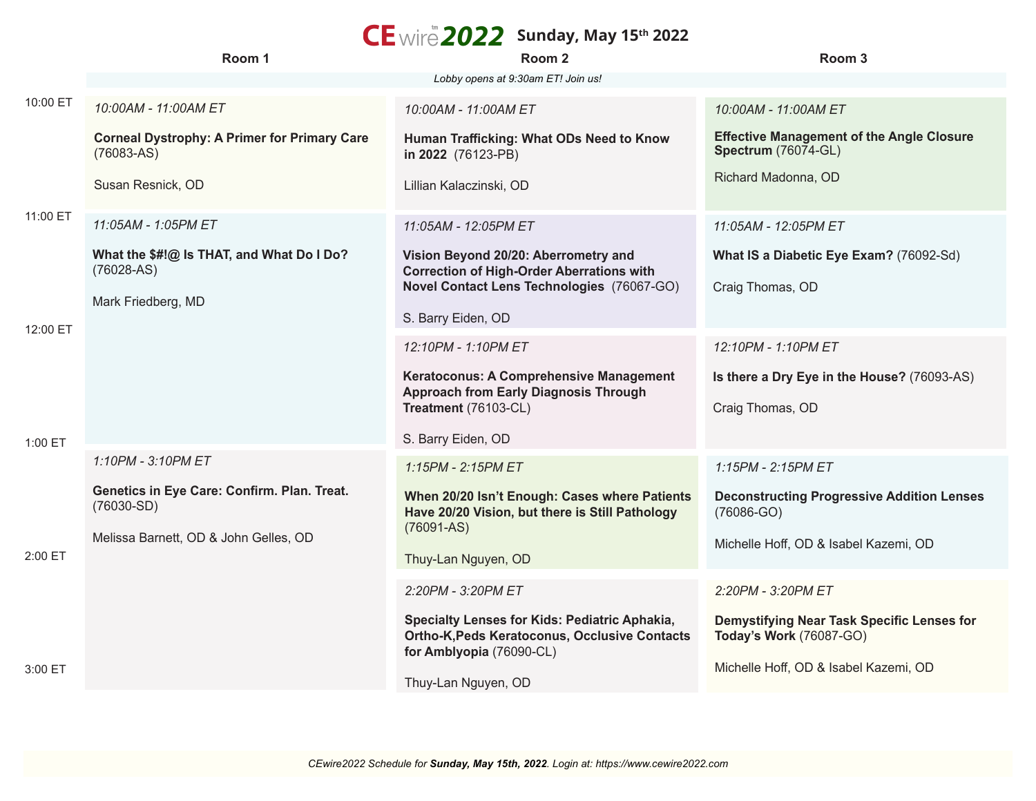## $CE$  wire 2022 Sunday, May 15<sup>th</sup> 2022

|          | Room 1                                                              | - , , , ,<br>Room 2                                                                                                        | Room 3                                                                         |
|----------|---------------------------------------------------------------------|----------------------------------------------------------------------------------------------------------------------------|--------------------------------------------------------------------------------|
|          |                                                                     | Lobby opens at 9:30am ET! Join us!                                                                                         |                                                                                |
| 10:00 ET | 10:00AM - 11:00AM ET                                                | 10:00AM - 11:00AM ET                                                                                                       | 10:00AM - 11:00AM ET                                                           |
|          | <b>Corneal Dystrophy: A Primer for Primary Care</b><br>$(76083-AS)$ | Human Trafficking: What ODs Need to Know<br>in 2022 (76123-PB)                                                             | <b>Effective Management of the Angle Closure</b><br><b>Spectrum</b> (76074-GL) |
| 11:00 ET | Susan Resnick, OD                                                   | Lillian Kalaczinski, OD                                                                                                    | Richard Madonna, OD                                                            |
|          | 11:05AM - 1:05PM ET                                                 | 11:05AM - 12:05PM ET                                                                                                       | 11:05AM - 12:05PM ET                                                           |
|          | What the \$#!@ Is THAT, and What Do I Do?<br>$(76028-AS)$           | Vision Beyond 20/20: Aberrometry and<br><b>Correction of High-Order Aberrations with</b>                                   | What IS a Diabetic Eye Exam? (76092-Sd)                                        |
| 12:00 ET | Mark Friedberg, MD                                                  | Novel Contact Lens Technologies (76067-GO)                                                                                 | Craig Thomas, OD                                                               |
|          |                                                                     | S. Barry Eiden, OD                                                                                                         |                                                                                |
|          |                                                                     | 12:10PM - 1:10PM ET                                                                                                        | 12:10PM - 1:10PM ET                                                            |
|          |                                                                     | Keratoconus: A Comprehensive Management<br><b>Approach from Early Diagnosis Through</b>                                    | Is there a Dry Eye in the House? (76093-AS)                                    |
|          |                                                                     | Treatment (76103-CL)                                                                                                       | Craig Thomas, OD                                                               |
| 1:00 ET  |                                                                     | S. Barry Eiden, OD                                                                                                         |                                                                                |
|          | 1:10PM - 3:10PM ET                                                  | $1:15PM - 2:15PM ET$                                                                                                       | 1:15PM - 2:15PM ET                                                             |
|          | Genetics in Eye Care: Confirm. Plan. Treat.<br>$(76030-SD)$         | When 20/20 Isn't Enough: Cases where Patients<br>Have 20/20 Vision, but there is Still Pathology                           | <b>Deconstructing Progressive Addition Lenses</b><br>$(76086-GO)$              |
| 2:00 ET  | Melissa Barnett, OD & John Gelles, OD                               | $(76091 - AS)$<br>Thuy-Lan Nguyen, OD                                                                                      | Michelle Hoff, OD & Isabel Kazemi, OD                                          |
|          |                                                                     | 2:20PM - 3:20PM ET                                                                                                         | 2:20PM - 3:20PM ET                                                             |
|          |                                                                     | Specialty Lenses for Kids: Pediatric Aphakia,<br>Ortho-K, Peds Keratoconus, Occlusive Contacts<br>for Amblyopia (76090-CL) | Demystifying Near Task Specific Lenses for<br>Today's Work (76087-GO)          |
| 3:00 ET  |                                                                     | Thuy-Lan Nguyen, OD                                                                                                        | Michelle Hoff, OD & Isabel Kazemi, OD                                          |